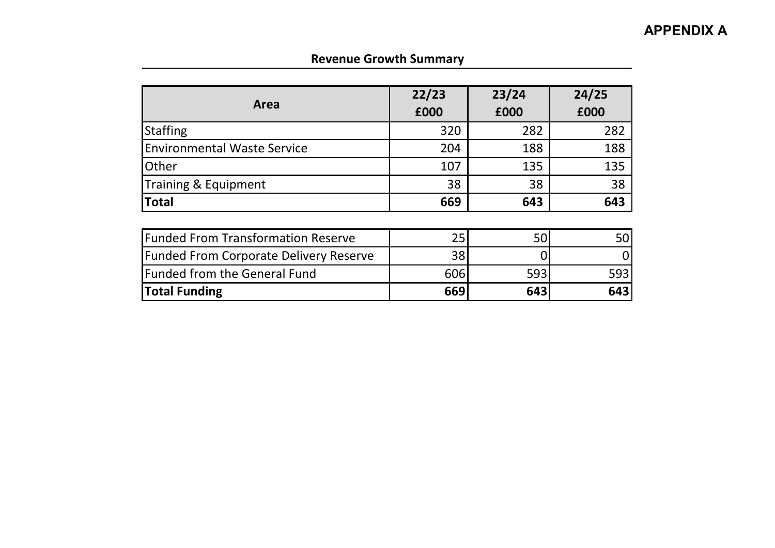## **Revenue Growth Summary**

|                                               | 22/23 | 23/24 | 24/25 |  |
|-----------------------------------------------|-------|-------|-------|--|
| Area                                          | £000  | £000  | £000  |  |
| <b>Staffing</b>                               | 320   | 282   | 282   |  |
| <b>Environmental Waste Service</b>            | 204   | 188   | 188   |  |
| <b>Other</b>                                  | 107   | 135   | 135   |  |
| Training & Equipment                          | 38    | 38    | 38    |  |
| <b>Total</b>                                  | 669   | 643   | 643   |  |
|                                               |       |       |       |  |
| <b>Funded From Transformation Reserve</b>     | 25    | 50    | 50    |  |
| <b>Funded From Corporate Delivery Reserve</b> | 38    |       |       |  |
| <b>Funded from the General Fund</b>           | 606   | 593   | 593   |  |
| <b>Total Funding</b>                          | 669   | 643   | 643   |  |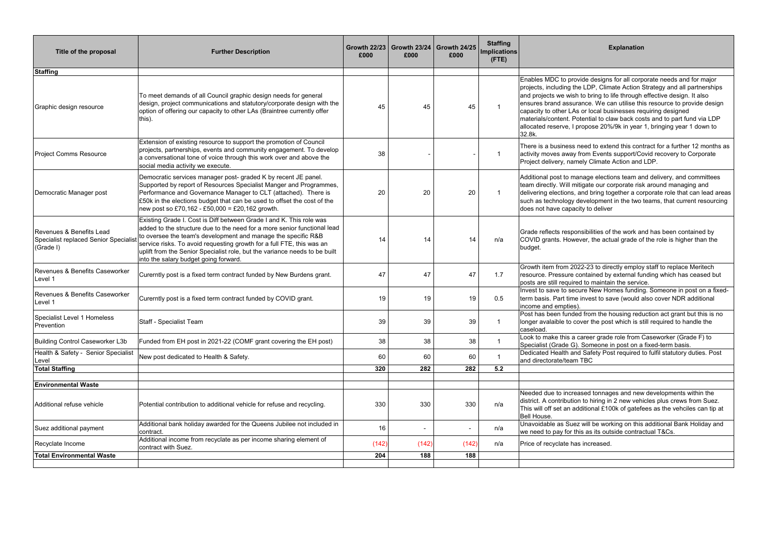> age elections team and delivery, and committees gate our corporate risk around managing and deliving together a corporate role that can lead areas velopment in the two teams, that current resourcing to deliver

| Title of the proposal                                                         | <b>Further Description</b>                                                                                                                                                                                                                                                                                                                                                                                       | £000  | £000  | Growth 22/23   Growth 23/24   Growth 24/25<br>£000 | <b>Staffing</b><br><b>Implications</b><br>$($ FTE $)$ | <b>Explanation</b>                                                                                                                                                                                                                                                                                                                                                                                                                                                                                                                      |
|-------------------------------------------------------------------------------|------------------------------------------------------------------------------------------------------------------------------------------------------------------------------------------------------------------------------------------------------------------------------------------------------------------------------------------------------------------------------------------------------------------|-------|-------|----------------------------------------------------|-------------------------------------------------------|-----------------------------------------------------------------------------------------------------------------------------------------------------------------------------------------------------------------------------------------------------------------------------------------------------------------------------------------------------------------------------------------------------------------------------------------------------------------------------------------------------------------------------------------|
| <b>Staffing</b>                                                               |                                                                                                                                                                                                                                                                                                                                                                                                                  |       |       |                                                    |                                                       |                                                                                                                                                                                                                                                                                                                                                                                                                                                                                                                                         |
| Graphic design resource                                                       | To meet demands of all Council graphic design needs for general<br>design, project communications and statutory/corporate design with the<br>option of offering our capacity to other LAs (Braintree currently offer<br>this).                                                                                                                                                                                   | 45    | 45    | 45                                                 |                                                       | Enables MDC to provide designs for all corporate needs and for major<br>projects, including the LDP, Climate Action Strategy and all partnerships<br>and projects we wish to bring to life through effective design. It also<br>ensures brand assurance. We can utilise this resource to provide design<br>capacity to other LAs or local businesses requiring designed<br>materials/content. Potential to claw back costs and to part fund via LDP<br>allocated reserve, I propose 20%/9k in year 1, bringing year 1 down to<br>32.8k. |
| <b>Project Comms Resource</b>                                                 | Extension of existing resource to support the promotion of Council<br>projects, partnerships, events and community engagement. To develop<br>a conversational tone of voice through this work over and above the<br>social media activity we execute.                                                                                                                                                            | 38    |       |                                                    |                                                       | There is a business need to extend this contract for a further 12 months a<br>activity moves away from Events support/Covid recovery to Corporate<br>Project delivery, namely Climate Action and LDP.                                                                                                                                                                                                                                                                                                                                   |
| Democratic Manager post                                                       | Democratic services manager post- graded K by recent JE panel.<br>Supported by report of Resources Specialist Manger and Programmes,<br>Performance and Governance Manager to CLT (attached). There is<br>£50k in the elections budget that can be used to offset the cost of the<br>new post so £70,162 - £50,000 = £20,162 growth.                                                                             | 20    | 20    | 20                                                 |                                                       | Additional post to manage elections team and delivery, and committees<br>team directly. Will mitigate our corporate risk around managing and<br>delivering elections, and bring together a corporate role that can lead are<br>such as technology development in the two teams, that current resourcing<br>does not have capacity to deliver                                                                                                                                                                                            |
| Revenues & Benefits Lead<br>Specialist replaced Senior Specialis<br>(Grade I) | Existing Grade I. Cost is Diff between Grade I and K. This role was<br>added to the structure due to the need for a more senior functional lead<br>to oversee the team's development and manage the specific R&B<br>service risks. To avoid requesting growth for a full FTE, this was an<br>uplift from the Senior Specialist role, but the variance needs to be built<br>into the salary budget going forward. | 14    | 14    | 14                                                 | n/a                                                   | Grade reflects responsibilities of the work and has been contained by<br>COVID grants. However, the actual grade of the role is higher than the<br>budget.                                                                                                                                                                                                                                                                                                                                                                              |
| Revenues & Benefits Caseworker<br>Level 1                                     | Curerntly post is a fixed term contract funded by New Burdens grant.                                                                                                                                                                                                                                                                                                                                             | 47    | 47    | 47                                                 | 1.7                                                   | Growth item from 2022-23 to directly employ staff to replace Meritech<br>resource. Pressure contained by external funding which has ceased but<br>posts are still required to maintain the service.                                                                                                                                                                                                                                                                                                                                     |
| Revenues & Benefits Caseworker<br>Level 1                                     | Curerntly post is a fixed term contract funded by COVID grant.                                                                                                                                                                                                                                                                                                                                                   | 19    | 19    | 19                                                 | 0.5                                                   | Invest to save to secure New Homes funding. Someone in post on a fixed<br>term basis. Part time invest to save (would also cover NDR additional<br>income and empties).                                                                                                                                                                                                                                                                                                                                                                 |
| Specialist Level 1 Homeless<br>Prevention                                     | Staff - Specialist Team                                                                                                                                                                                                                                                                                                                                                                                          | 39    | 39    | 39                                                 |                                                       | Post has been funded from the housing reduction act grant but this is no<br>longer avalaible to cover the post which is still required to handle the<br>caseload.                                                                                                                                                                                                                                                                                                                                                                       |
| Building Control Caseworker L3b                                               | Funded from EH post in 2021-22 (COMF grant covering the EH post)                                                                                                                                                                                                                                                                                                                                                 | 38    | 38    | 38                                                 |                                                       | Look to make this a career grade role from Caseworker (Grade F) to<br>Specialist (Grade G). Someone in post on a fixed-term basis.                                                                                                                                                                                                                                                                                                                                                                                                      |
| Health & Safety - Senior Specialist<br>Level                                  | New post dedicated to Health & Safety.                                                                                                                                                                                                                                                                                                                                                                           | 60    | 60    | 60                                                 |                                                       | Dedicated Health and Safety Post required to fulfil statutory duties. Post<br>and directorate/team TBC                                                                                                                                                                                                                                                                                                                                                                                                                                  |
| <b>Total Staffing</b>                                                         |                                                                                                                                                                                                                                                                                                                                                                                                                  | 320   | 282   | 282                                                | $5.2$                                                 |                                                                                                                                                                                                                                                                                                                                                                                                                                                                                                                                         |
| <b>Environmental Waste</b>                                                    |                                                                                                                                                                                                                                                                                                                                                                                                                  |       |       |                                                    |                                                       |                                                                                                                                                                                                                                                                                                                                                                                                                                                                                                                                         |
| Additional refuse vehicle                                                     | Potential contribution to additional vehicle for refuse and recycling.                                                                                                                                                                                                                                                                                                                                           | 330   | 330   | 330                                                | n/a                                                   | Needed due to increased tonnages and new developments within the<br>district. A contribution to hiring in 2 new vehicles plus crews from Suez.<br>This will off set an additional £100k of gatefees as the vehciles can tip at<br>Bell House.                                                                                                                                                                                                                                                                                           |
| Suez additional payment                                                       | Additional bank holiday awarded for the Queens Jubilee not included in<br>contract.                                                                                                                                                                                                                                                                                                                              | 16    | ٠     | $\sim$                                             | n/a                                                   | Unavoidable as Suez will be working on this additional Bank Holiday and<br>we need to pay for this as its outside contractual T&Cs.                                                                                                                                                                                                                                                                                                                                                                                                     |
| Recyclate Income                                                              | Additional income from recyclate as per income sharing element of<br>contract with Suez.                                                                                                                                                                                                                                                                                                                         | (142) | (142) | (142)                                              | n/a                                                   | Price of recyclate has increased.                                                                                                                                                                                                                                                                                                                                                                                                                                                                                                       |
| <b>Total Environmental Waste</b>                                              |                                                                                                                                                                                                                                                                                                                                                                                                                  | 204   | 188   | 188                                                |                                                       |                                                                                                                                                                                                                                                                                                                                                                                                                                                                                                                                         |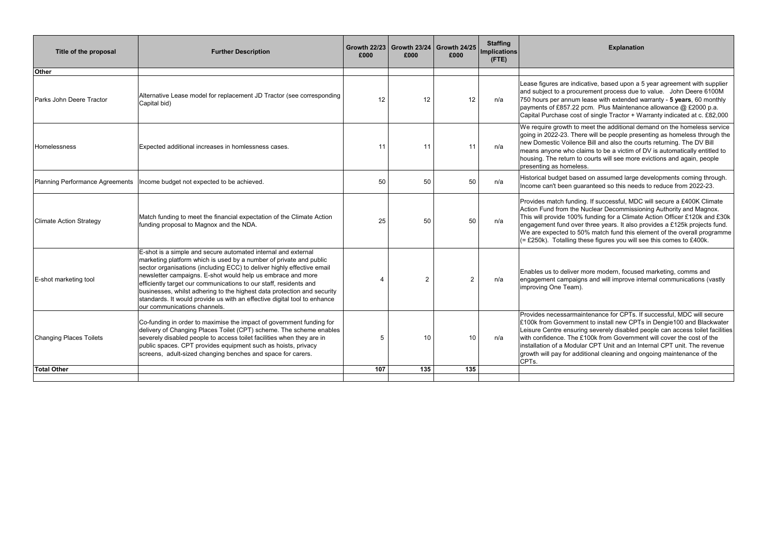| Title of the proposal           | <b>Further Description</b>                                                                                                                                                                                                                                                                                                                                                                                                                                                                                                               | <b>Growth 22/23</b><br>£000 | £000           | Growth $23/24$ Growth $24/25$<br>£000 | <b>Staffing</b><br>Implications<br>$($ FTE $)$ | <b>Explanation</b>                                                                                                                                                                                                                                                                                                                                                                                                                                                     |
|---------------------------------|------------------------------------------------------------------------------------------------------------------------------------------------------------------------------------------------------------------------------------------------------------------------------------------------------------------------------------------------------------------------------------------------------------------------------------------------------------------------------------------------------------------------------------------|-----------------------------|----------------|---------------------------------------|------------------------------------------------|------------------------------------------------------------------------------------------------------------------------------------------------------------------------------------------------------------------------------------------------------------------------------------------------------------------------------------------------------------------------------------------------------------------------------------------------------------------------|
| <b>Other</b>                    |                                                                                                                                                                                                                                                                                                                                                                                                                                                                                                                                          |                             |                |                                       |                                                |                                                                                                                                                                                                                                                                                                                                                                                                                                                                        |
| <b>Parks John Deere Tractor</b> | Alternative Lease model for replacement JD Tractor (see corresponding<br>Capital bid)                                                                                                                                                                                                                                                                                                                                                                                                                                                    | 12                          | 12             | 12                                    | n/a                                            | Lease figures are indicative, based upon a 5 year agreement with supplier<br>and subject to a procurement process due to value. John Deere 6100M<br>750 hours per annum lease with extended warranty - 5 years, 60 monthly<br>payments of £857.22 pcm. Plus Maintenance allowance @ £2000 p.a.<br>Capital Purchase cost of single Tractor + Warranty indicated at c. £82,000                                                                                           |
| Homelessness                    | Expected additional increases in homlessness cases.                                                                                                                                                                                                                                                                                                                                                                                                                                                                                      | 11                          | 11             | 11                                    | n/a                                            | We require growth to meet the additional demand on the homeless service<br>going in 2022-23. There will be people presenting as homeless through the<br>new Domestic Voilence Bill and also the courts returning. The DV Bill<br>means anyone who claims to be a victim of DV is automatically entitled to<br>housing. The return to courts will see more evictions and again, people<br>presenting as homeless.                                                       |
| Planning Performance Agreements | Income budget not expected to be achieved.                                                                                                                                                                                                                                                                                                                                                                                                                                                                                               | 50                          | 50             | 50                                    | n/a                                            | Historical budget based on assumed large developments coming through.<br>Income can't been guaranteed so this needs to reduce from 2022-23.                                                                                                                                                                                                                                                                                                                            |
| <b>Climate Action Strategy</b>  | Match funding to meet the financial expectation of the Climate Action<br>funding proposal to Magnox and the NDA.                                                                                                                                                                                                                                                                                                                                                                                                                         | 25                          | 50             | 50                                    | n/a                                            | Provides match funding. If successful, MDC will secure a £400K Climate<br>Action Fund from the Nuclear Decommissioning Authority and Magnox.<br>This will provide 100% funding for a Climate Action Officer £120k and £30I<br>engagement fund over three years. It also provides a £125k projects fund.<br>We are expected to 50% match fund this element of the overall programm<br>(= £250k). Totalling these figures you will see this comes to £400k.              |
| E-shot marketing tool           | E-shot is a simple and secure automated internal and external<br>marketing platform which is used by a number of private and public<br>sector organisations (including ECC) to deliver highly effective email<br>newsletter campaigns. E-shot would help us embrace and more<br>efficiently target our communications to our staff, residents and<br>businesses, whilst adhering to the highest data protection and security<br>standards. It would provide us with an effective digital tool to enhance<br>our communications channels. | 4                           | $\overline{2}$ | $\overline{2}$                        | n/a                                            | Enables us to deliver more modern, focused marketing, comms and<br>engagement campaigns and will improve internal communications (vastly<br>improving One Team).                                                                                                                                                                                                                                                                                                       |
| <b>Changing Places Toilets</b>  | Co-funding in order to maximise the impact of government funding for<br>delivery of Changing Places Toilet (CPT) scheme. The scheme enables<br>severely disabled people to access toilet facilities when they are in<br>public spaces. CPT provides equipment such as hoists, privacy<br>screens, adult-sized changing benches and space for carers.                                                                                                                                                                                     | $5\phantom{.0}$             | 10             | 10                                    | n/a                                            | Provides necessarmaintenance for CPTs. If successful, MDC will secure<br>£100k from Government to install new CPTs in Dengie100 and Blackwater<br>Leisure Centre ensuring severely disabled people can access toilet facilitie<br>with confidence. The £100k from Government will cover the cost of the<br>installation of a Modular CPT Unit and an Internal CPT unit. The revenue<br>growth will pay for additional cleaning and ongoing maintenance of the<br>CPTs. |
| <b>Total Other</b>              |                                                                                                                                                                                                                                                                                                                                                                                                                                                                                                                                          | 107                         | 135            | 135                                   |                                                |                                                                                                                                                                                                                                                                                                                                                                                                                                                                        |
|                                 |                                                                                                                                                                                                                                                                                                                                                                                                                                                                                                                                          |                             |                |                                       |                                                |                                                                                                                                                                                                                                                                                                                                                                                                                                                                        |